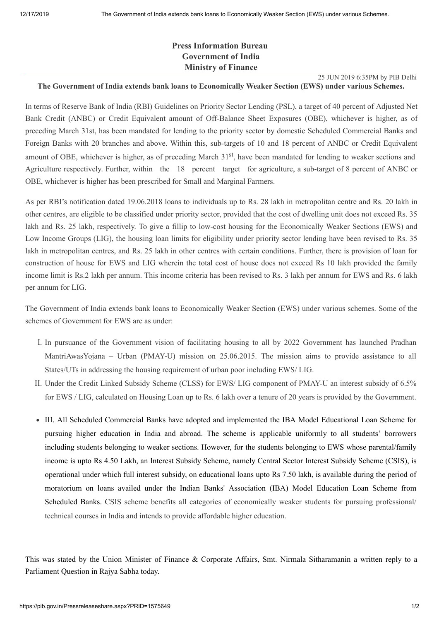25 JUN 2019 6:35PM by PIB Delhi

## **Press Information Bureau Government of India Ministry of Finance**

## **The Government of India extends bank loans to Economically Weaker Section (EWS) under various Schemes.**

In terms of Reserve Bank of India (RBI) Guidelines on Priority Sector Lending (PSL), a target of 40 percent of Adjusted Net Bank Credit (ANBC) or Credit Equivalent amount of Off-Balance Sheet Exposures (OBE), whichever is higher, as of preceding March 31st, has been mandated for lending to the priority sector by domestic Scheduled Commercial Banks and Foreign Banks with 20 branches and above. Within this, sub-targets of 10 and 18 percent of ANBC or Credit Equivalent amount of OBE, whichever is higher, as of preceding March 31<sup>st</sup>, have been mandated for lending to weaker sections and Agriculture respectively. Further, within the 18 percent target for agriculture, a sub-target of 8 percent of ANBC or OBE, whichever is higher has been prescribed for Small and Marginal Farmers.

As per RBI's notification dated 19.06.2018 loans to individuals up to Rs. 28 lakh in metropolitan centre and Rs. 20 lakh in other centres, are eligible to be classified under priority sector, provided that the cost of dwelling unit does not exceed Rs. 35 lakh and Rs. 25 lakh, respectively. To give a fillip to low-cost housing for the Economically Weaker Sections (EWS) and Low Income Groups (LIG), the housing loan limits for eligibility under priority sector lending have been revised to Rs. 35 lakh in metropolitan centres, and Rs. 25 lakh in other centres with certain conditions. Further, there is provision of loan for construction of house for EWS and LIG wherein the total cost of house does not exceed Rs 10 lakh provided the family income limit is Rs.2 lakh per annum. This income criteria has been revised to Rs. 3 lakh per annum for EWS and Rs. 6 lakh per annum for LIG.

The Government of India extends bank loans to Economically Weaker Section (EWS) under various schemes. Some of the schemes of Government for EWS are as under:

- I. In pursuance of the Government vision of facilitating housing to all by 2022 Government has launched Pradhan MantriAwasYojana – Urban (PMAY-U) mission on 25.06.2015. The mission aims to provide assistance to all States/UTs in addressing the housing requirement of urban poor including EWS/ LIG.
- II. Under the Credit Linked Subsidy Scheme (CLSS) for EWS/ LIG component of PMAY-U an interest subsidy of 6.5% for EWS / LIG, calculated on Housing Loan up to Rs. 6 lakh over a tenure of 20 years is provided by the Government.
- III. All Scheduled Commercial Banks have adopted and implemented the IBA Model Educational Loan Scheme for pursuing higher education in India and abroad. The scheme is applicable uniformly to all students' borrowers including students belonging to weaker sections. However, for the students belonging to EWS whose parental/family income is upto Rs 4.50 Lakh, an Interest Subsidy Scheme, namely Central Sector Interest Subsidy Scheme (CSIS), is operational under which full interest subsidy, on educational loans upto Rs 7.50 lakh, is available during the period of moratorium on loans availed under the Indian Banks' Association (IBA) Model Education Loan Scheme from Scheduled Banks. CSIS scheme benefits all categories of economically weaker students for pursuing professional/ technical courses in lndia and intends to provide affordable higher education.

This was stated by the Union Minister of Finance & Corporate Affairs, Smt. Nirmala Sitharamanin a written reply to a Parliament Question in Rajya Sabha today.